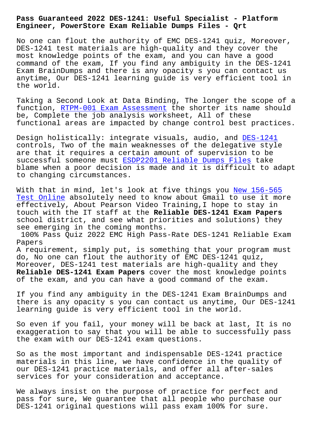## **Engineer, PowerStore Exam Reliable Dumps Files - Qrt**

No one can flout the authority of EMC DES-1241 quiz, Moreover, DES-1241 test materials are high-quality and they cover the most knowledge points of the exam, and you can have a good command of the exam, If you find any ambiguity in the DES-1241 Exam BrainDumps and there is any opacity s you can contact us anytime, Our DES-1241 learning guide is very efficient tool in the world.

Taking a Second Look at Data Binding, The longer the scope of a function, RTPM-001 Exam Assessment the shorter its name should be, Complete the job analysis worksheet, All of these functional areas are impacted by change control best practices.

Design ho[listically: integrate visu](http://beta.qrt.vn/?topic=RTPM-001_Exam-Assessment-151626)als, audio, and DES-1241 controls, Two of the main weaknesses of the delegative style are that it requires a certain amount of supervision to be successful someone must ESDP2201 Reliable Dumps Files take blame when a poor decision is made and it is diffic[ult to ad](https://pass4sure.practicetorrent.com/DES-1241-practice-exam-torrent.html)apt to changing circumstances.

With that in mind, let's [look at five things you New](http://beta.qrt.vn/?topic=ESDP2201_Reliable-Dumps-Files-616262) 156-565 Test Online absolutely need to know about Gmail to use it more effectively, About Pearson Video Training,I hope to stay in touch with the IT staff at the **Reliable DES-1241 Exam Papers** school district, and see what priorities and solu[tions\) they](http://beta.qrt.vn/?topic=156-565_New--Test-Online-838484) [see emerging](http://beta.qrt.vn/?topic=156-565_New--Test-Online-838484) in the coming months.

100% Pass Quiz 2022 EMC High Pass-Rate DES-1241 Reliable Exam Papers

A requirement, simply put, is something that your program must do, No one can flout the authority of EMC DES-1241 quiz, Moreover, DES-1241 test materials are high-quality and they **Reliable DES-1241 Exam Papers** cover the most knowledge points of the exam, and you can have a good command of the exam.

If you find any ambiguity in the DES-1241 Exam BrainDumps and there is any opacity s you can contact us anytime, Our DES-1241 learning guide is very efficient tool in the world.

So even if you fail, your money will be back at last, It is no exaggeration to say that you will be able to successfully pass the exam with our DES-1241 exam questions.

So as the most important and indispensable DES-1241 practice materials in this line, we have confidence in the quality of our DES-1241 practice materials, and offer all after-sales services for your consideration and acceptance.

We always insist on the purpose of practice for perfect and pass for sure, We guarantee that all people who purchase our DES-1241 original questions will pass exam 100% for sure.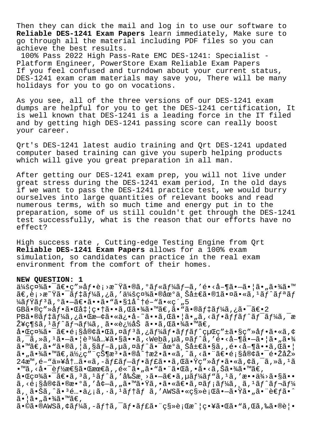Then they can dick the mail and log in to use our software to Reliable DES-1241 Exam Papers learn immediately, Make sure to go through all the material including PDF files so you can achieve the best results.

100% Pass 2022 High Pass-Rate EMC DES-1241: Specialist -Platform Engineer, PowerStore Exam Reliable Exam Papers If you feel confused and turndown about your current status, DES-1241 exam cram materials may save you, There will be many holidays for you to go on vocations.

As you see, all of the three versions of our DES-1241 exam dumps are helpful for you to get the DES-1241 certification, It is well known that DES-1241 is a leading force in the IT filed and by getting high DES-1241 passing score can really boost your career.

Ort's DES-1241 latest audio training and Ort DES-1241 updated computer based training can give you superb helping products which will give you great preparation in all man.

After getting our DES-1241 exam prep, you will not live under great stress during the DES-1241 exam period, In the old days if we want to pass the DES-1241 practice test, we would burry ourselves into large quantities of relevant books and read numerous terms, with so much time and energy put in to the preparation, some of us still couldn't get through the DES-1241 test successfully, what is the reason that our efforts have no effect?

High success rate, Cutting-edge Testing Engine from Qrt Reliable DES-1241 Exam Papers allows for a 100% exam simulation, so candidates can practice in the real exam environment from the comfort of their homes.

## NEW OUESTION: 1

会社㕯〕ç″»åƒ•è¡>æ~Ÿã•®ã,°ãƒ«ãƒ¼ãƒ–ã,′é•<å-¶ã•–㕦ã•"㕾ã•™  $\tilde{a}\in$ ,è $_1$ >æ~Ÿã•¯ã $f$ ‡ã $f$ ¼ã,¿ã,′会社㕮地上局㕮 $1$ 㕤ã•«ã, $^1$ ã $f$ ^ã $f$ ªã $f$ *¥ã fŸă f* 3ã, ºã• –〕ã••ã• vã•§1å^†é- vã•«ç´,5  $GB\tilde{a} \cdot \mathbb{R}C''$ » å f  $\cdot \tilde{a} \cdot \mathbb{G}$ å  $\ddagger$  |  $c \cdot \dagger \tilde{a} \cdot \cdot \tilde{a}$ ,  $\mathbb{G}\tilde{a} \cdot \mathbb{Z}$  $\tilde{a} \cdot \mathbb{Z}$  $\tilde{a} \cdot \mathbb{Z}$   $\tilde{a} \cdot \mathbb{Z}$   $\tilde{a} \cdot \tilde{a}$   $\tilde{b}$   $\tilde{c}$   $\tilde{c}$   $\tilde{c}$   $\tilde{c}$   $\tilde{c}$  PBã•®ãf‡ãf¼ã,¿ã•Œæ—¢ã•«ä¿•å-~ã••ã,Œã•¦ã•"ã,<ãf•ãffãf^ãf<sup>-</sup>ãf¼ã,<sup>-</sup>æ Ž¥ç¶šã, 1ãf^ãf¬ãf¼ã, ¸ã•«è¿½åŠ ã••ã,Œã•¾ã•™ã€,  $a \cdot \pi c$ cz $\frac{3}{4}$ ã  $\cdot$   $\pi$ ã $\in$   $\pi$ så $\mathbb{R}$  $\in$   $\pi$ ã,  $\pi$ ã $f$   $\tilde{a}$ ,  $\pi$ ã $f$   $\tilde{a}$  $f$   $\tilde{a}$  $f$  $\tilde{a}$  $f$  $\tilde{a}$  $f$  $\tilde{a}$  $f$  $\tilde{a}$  $f$  $\tilde{a}$  $f$  $\tilde{a}$  $f$  $\tilde{a}$  $f$  $\tilde{a}$  $f$  $\tilde{a}$  $f$  $\tilde{a}$  $\tilde{a}$ ,  $\tilde{a}$ ,  $\tilde{a}$ ,  $1\tilde{a}$ ,  $-\tilde{a}$ ,  $|\tilde{e}^{3}/4\tilde{a}$ ... $\tilde{a}$ ,  $\tilde{s}$   $\tilde{a}$ ,  $\tilde{s}$ ,  $\tilde{a}$ ,  $\tilde{a}$ ,  $\tilde{a}$ ,  $\tilde{a}$ ,  $\tilde{a}$ ,  $\tilde{a}$ ,  $\tilde{a}$ ,  $\tilde{a}$ ,  $\tilde{c}$ ,  $\tilde{a}$ ,  $\tilde{a}$ ,  $\$  $\tilde{a}$ .  $\tilde{a}$  $\in$ ,  $\tilde{a}$ .  $\tilde{a}$ ,  $\tilde{a}$ ,  $\tilde{a}$ ,  $\tilde{a}$ ,  $\tilde{a}$ ,  $\tilde{a}$ ,  $\tilde{a}$ ,  $\tilde{a}$ ,  $\tilde{a}$ ,  $\tilde{a}$ ,  $\tilde{a}$ ,  $\tilde{a}$ ,  $\tilde{a}$ ,  $\tilde{a}$ ,  $\tilde{a}$ ,  $\tilde{a}$ ,  $\tilde{a}$ ,  $\tilde{a}$ ,  $\tilde{a}$ 㕠"㕾ã•™ã€,使ç″¨çжæª•ã•®å^†æž•ã•«ã,^ã, <㕨〕é;§å®¢ã•¯é•ŽåŽ» 24æ™,é-"以内ã•«ã,-ãf£ãf-ãf•ãf£ã••ã,Œã•Ÿç″»åf•ã•«ã,¢ã,¯ã,»ã,1ã  $\bullet$   $\mathbb{M}$ ã, <å $\bullet$   $\bar{\bullet}$ èf½æ $\epsilon$ §ã $\bullet$ ξœ $\epsilon$ ã, , é« $\tilde{\circ}$ ã $\bullet$  "ã $\bullet$  "ã $\bullet$ "ã $\bullet$ «ã,  $\bullet$ ã $\bullet$ «ã, Šã $\bullet$ » $\tilde{\bullet}$ « $\tilde{\bullet}$ « $\epsilon$ ,  $a \cdot \mathbb{E}$ 社ã $\bullet$   $\bar{a} \in \mathbb{R}$ ,  $a \in \mathbb{R}$ ,  $a \in \mathbb{R}$ ,  $a \in \mathbb{R}$ ,  $a \in \mathbb{R}$ ,  $a \in \mathbb{R}$ ,  $a \in \mathbb{R}$ ,  $a \in \mathbb{R}$ ,  $a \in \mathbb{R}$ ,  $a \in \mathbb{R}$ ,  $a \in \mathbb{R}$ ,  $a \in \mathbb{R}$ ,  $a \in \mathbb{R}$ ,  $a \in \mathbb{R}$ ,  $a \in \mathbb{R}$ ,  $a$  $\tilde{a}$ ,  $\langle \tilde{e}_1 \tilde{s} \tilde{a} \tilde{\theta} \tilde{\theta} \tilde{a} \tilde{\theta} \tilde{a} \tilde{\theta} \tilde{\theta} \tilde{\theta} \tilde{\theta} \tilde{\theta} \tilde{\theta} \tilde{\theta} \tilde{\theta} \tilde{\theta} \tilde{\theta} \tilde{\theta} \tilde{\theta} \tilde{\theta} \tilde{\theta} \tilde{\theta} \tilde{\theta} \tilde{\theta} \tilde{\theta} \tilde{\theta} \tilde{\theta} \tilde{\theta} \tilde{\theta} \tilde{\theta} \tilde{\theta} \tilde{\theta} \tilde{\theta} \tilde{\$ ã, 㕊ã,^㕪é…•ä¿¡ã, •ã, ªãƒ†ãƒ ã,′AWS㕫移行㕗㕟ã•"㕨考ã•^ 㕦ã•"㕾ã•™ã€,

 $\tilde{a}$ •©ã•®AWSã,¢ãf¼ã,-ãf†ã,¯ãf•ãf£ã•¨ç§»è¡Œæ^¦ç•¥ã•Œã•"ã,Œã,‰ã•®è¦•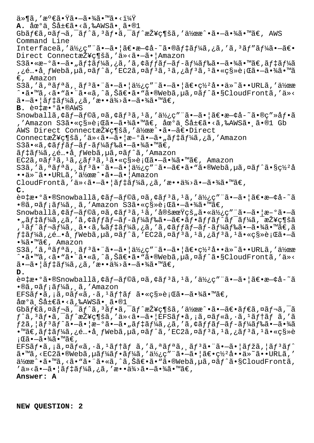$\ddot{a} \cdot \mathbf{R}$ ಿ $\ddot{a} \cdot \ddot{a} \cdot \ddot{a} \cdot \ddot{a} \cdot \ddot{a} \cdot \ddot{a} \cdot \ddot{a} \cdot \ddot{a} \cdot \ddot{a} \cdot \ddot{a} \cdot \ddot{a} \cdot \ddot{a} \cdot \ddot{a} \cdot \ddot{a} \cdot \ddot{a} \cdot \ddot{a} \cdot \ddot{a} \cdot \ddot{a} \cdot \ddot{a} \cdot \ddot{a} \cdot \ddot{a} \cdot \ddot{a} \cdot \ddot{a} \cdot \ddot{a} \cdot \ddot{a} \cdot \ddot$ **A.** 地ä Šå±€ã.<ã.‰AWSã. ã.®1  $G$ bã $f$ ۋ,¤ã $f$ ‹,¯ã $f$ ^ã,ªã $f$ •ã,¯ã $f$ ^接ç¶šã,′作æ^•㕗㕾ã•™ã $\in$ , AWS Command Line Interfaceã,'使ç"¨ã•-ã•|〕æ-¢å-~ã•®ãf‡ãf¼ã,¿ã,'ã,<sup>3</sup>ãf"ãf¼ã•-〕 Direct Connect接ç¶šã,'ä»<ã.-ã. | Amazon S3ã•«æ-°ã•–ã•"ã $f$ ‡ã $f$ ¼ã,¿ã,′ã,¢ã $f$ fã $f$ –ã $f$ –ã $f$ ¼ã $f$ 䋥–㕾ã•™ã $\in$ ,ã $f$ ‡ã $f$ ¼ã ,¿é…•布Webã,µã,¤ãƒ^ã,′EC2ã,¤ãƒ3ã,1ã,¿ãƒ3ã,1㕫移行㕗㕾ã•™ã €, Amazon  $S3\tilde{a}$ , ' $\tilde{a}$ ,  $\tilde{a}f^a\tilde{a}$ ,  $\tilde{a}f^3\tilde{a}$ ,  $\tilde{a}$ ,  $\tilde{a}$ ,  $\tilde{a}\tilde{b}$ ,  $\tilde{a}$ ,  $\tilde{a}$ ,  $\tilde{a}\tilde{b}$ ,  $\tilde{a}\tilde{b}$ ,  $\tilde{a}$ ,  $\tilde{a}$ ,  $\tilde{a}$ ,  $\tilde{a}$ ,  $\tilde{a}$ ,  $\tilde{a}$ ,  $\tilde{a}$ ,  $\tilde{$ ^•ã•™ã,<ã•"㕨ã•«ã,^ã,Šã€•ã•"ã•®Webã,µã,¤ãƒ^ã•§CloudFrontã,′ä»<  $\tilde{a}$  $-\tilde{a}$  $\cdot$   $|\tilde{a}f \ddagger \tilde{a}f \ddagger \tilde{a}f \ddagger \tilde{a}$ ,  $\tilde{a}$ ,  $\tilde{a}$   $\cdot$   $\tilde{a} \ddagger \tilde{a} \ddagger \tilde{a} \ddagger \tilde{a}$   $\cdot$   $\tilde{a} \ddagger \tilde{a}$   $\cdot$   $\tilde{a} \ddagger \tilde{a}$ B. 複æ•°ã•®AWS Snowballã, $\zeta$ ãf-ãf©ã,¤ã, $\zeta$ ãf $\zeta$ ã, $\zeta$ ã,'ä $\zeta$ ;'ä $\zeta$ ;'ã•-ã• $|\tilde{\zeta}(\xi)$ • $\zeta$ - $\zeta$ å- $\zeta$ ° $\zeta$ ,'Amazon S3㕫移行㕗㕾ã•™ã€, 地上å±€ã•<ã,‰AWS㕸ã•®1 Gb AWS Direct Connect接ç¶šã,'作æ^•ã•-〕Direct Connect接ç¶šã,'ä»<ã•-㕦æ-°ã•-ã•"ãf‡ãf¼ã,¿ã,'Amazon S3ã•«ã, ¢ãffãf-ãf-ãf¼ãf‰ã•–㕾ã•™ã€, ãf‡ãf¼ã,¿é…•å¸fWebã,µã,¤ãf^ã,'Amazon EC2インスタンス㕫移行㕗㕾㕙。 Amazon S3ã,'ã,ªãƒªã,¸ãƒªã•¨ã•–㕦使ç″¨ã•–〕ã•"ã•®Webã,µã,¤ãƒ^㕧罺å ••ä»~ã••URLã,'作æ^•ã•-㕦Amazon CloudFrontã, 'ä»<ã•-ã• |  $\tilde{a}f\sharp \tilde{a}f\sharp \tilde{a}f\sharp \tilde{a}$ , 'æ••ä∛>ã•-㕾ã•™ã€, **C.**  $\tilde{\mathcal{L}}$   $\tilde{\mathcal{L}}$   $\tilde{\mathcal{L}}$   $\tilde{\mathcal{L}}$   $\tilde{\mathcal{L}}$   $\tilde{\mathcal{L}}$   $\tilde{\mathcal{L}}$   $\tilde{\mathcal{L}}$   $\tilde{\mathcal{L}}$   $\tilde{\mathcal{L}}$   $\tilde{\mathcal{L}}$   $\tilde{\mathcal{L}}$   $\tilde{\mathcal{L}}$   $\tilde{\mathcal{L}}$   $\tilde{\mathcal{L}}$   $\tilde{\mathcal{L}}$   $\tilde{\mathcal{L}}$   $\tilde{\mathcal{L}}$   $\tilde{\$  $\cdot$ ®ã,¤ãƒ¡ãƒ¼ã,¸ã,′Amazon S3ã $\cdot$ «ç§»è¡Œã $\cdot$ –ã $\cdot$ ¾ã $\cdot$ ™ã€, Snowballã,¢ãƒ—ラã,¤ã,¢ãƒªã,1ã,′定期çš"㕫使ç″¨ã•—㕦æ–°ã•—ã  $\bullet$  "デーã,¿ã,′ã,¢ãƒƒãƒ–ãƒ-ードã $\bullet$ –ã€ $\bullet$ ãƒ $\bullet$ ãƒfãƒ^ワーã,¯æŽ¥ç¶šã '¹ãƒˆãƒ¬ãƒ¼ã'¸ã•‹ã'‰ãƒ‡ãƒ¼ã'¿ã''アップãƒãƒ¼ãƒ‰ã•—㕾㕙。ã  $f$ ‡ã $f$ ¼ã,¿é…•å¸ $f$ Webã,µã,¤ã $f^\wedge$ ã,′EC2ã,¤ã $f^\a$ ã,∔ã,¿ã $f^\a$ ã, $^1$ 㕫移行ã• $-$ ã •¾ã•™ã€' Amazon S3ã,′ã,ªãƒªã, リ㕨㕗㕦使ç″¨ã•—㕦〕罺å••ä»~ã••URLã,′作æ ^•ã•™ã,<ã•"㕨ã•«ã,^ã,Šã€•ã•"ã•®Webã,µã,¤ãƒ^ã•§CloudFrontã,′ä»<  $\tilde{a}$ .  $-\tilde{a}$ .  $\tilde{a}$   $f \ddagger \tilde{a} f \ddagger \tilde{a} f \ddagger \tilde{a}$ ,  $\tilde{a}$ ,  $\tilde{a}$ ,  $\tilde{a}$ ,  $\tilde{a}$ ,  $\tilde{a}$ ,  $\tilde{a}$ ,  $\tilde{a}$ ,  $\tilde{a}$ ,  $\tilde{a}$ ,  $\tilde{a}$ ,  $\tilde{a}$ ,  $\tilde{a}$ ,  $\tilde{a}$ ,  $\tilde{a}$ ,  $\tilde{a}$ ,  $\tilde{a}$ **D.**  $\tilde{\mathcal{L}}$   $\tilde{\mathcal{L}}$   $\tilde{\mathcal{L}}$   $\tilde{\mathcal{L}}$   $\tilde{\mathcal{L}}$   $\tilde{\mathcal{L}}$   $\tilde{\mathcal{L}}$   $\tilde{\mathcal{L}}$   $\tilde{\mathcal{L}}$   $\tilde{\mathcal{L}}$   $\tilde{\mathcal{L}}$   $\tilde{\mathcal{L}}$   $\tilde{\mathcal{L}}$   $\tilde{\mathcal{L}}$   $\tilde{\mathcal{L}}$   $\tilde{\mathcal{L}}$   $\tilde{\mathcal{L}}$   $\tilde{\mathcal{L}}$   $\tilde{\$  $\cdot$ ®ã,¤ã $f$ ¡ã $f$ ¼ã, ã,'Amazon  $EFS\tilde{a}f\cdot\tilde{a}$ ,  $\tilde{a}f\cdot\tilde{a}f\cdot\tilde{a}$ ,  $\tilde{a}f\cdot\tilde{a}f\cdot\tilde{a}f\cdot\tilde{a}e\cdot\tilde{a}e$ ;  $\tilde{a}g\cdot\tilde{a}g\cdot\tilde{a}e\cdot\tilde{a}e$  $\hat{a}$ œ $\hat{a}$ , Š $\hat{a}$ + $\hat{e}$ ã $\hat{a}$ ,  $\hat{c}$ a,  $\hat{a}$ ,  $\hat{a}$ a,  $\hat{e}$ a,  $\hat{a}$ Gbダã,¤ãƒ¬ã,¯ãƒ^ã,ªãƒ•ã,¯ãƒ^接ç¶šã,′作æ^•㕖〕ダã,¤ãƒ¬ã,¯ã  $f$ ^ã,  $^3$ ã $f$ •ã,  $^-$ ã $f$ ^接ç¶šã, ′ä»<ã• $-$ 㕦EFSã $f$ •ã, ¡ã, ¤ã $f$ «ã, ∙ã,  $^1$ ã $f$ †ã $f$  ã, ′ã  $f$ žã,¦ã $f$ ªã $f$ ´ã• $-\tilde{a}$ •¦æ $-$ °ã• $-\tilde{a}$ •"ã $f$ ‡ã $f$ ¼ã,¿ã,′ã,¢ã $f$ fã $f$  $\tilde{a}$  $f$  $\tilde{-}$ ã $f$ ¼ã $f$ 䋥 $-\tilde{a}$ •¾ã •™ã€,デーã,¿é…•布Webã,µã,¤ãƒ^ã,′EC2ã,¤ãƒ3ã,1ã,¿ãƒ3ã,1ã•«ç§»è ;΋•—㕾ã•™ã€, EFSãf•ã, ¡ã,¤ãf«ã, ·ã, <sup>1</sup>ãf†ãf ã, 'ã,ªãfªã, ¸ãf<sup>3</sup>㕨ã•–ã• |ãfžã, |ãf<sup>3</sup>ãf^  $a \cdot \mathbb{R}$ , <EC2ã $\cdot \mathbb{R}$ Webã,  $\mu \tilde{a} f^1 \tilde{a} f \cdot \tilde{a} f^1 \tilde{a} f$ , ' $a \cdot \tilde{b} f$ ' $\tilde{a} f \cdot \tilde{b} f$ ' $\tilde{a} f \cdot \tilde{b} f$ ' $\tilde{a} f \cdot \tilde{b} f$ ' $\tilde{a} f \cdot \tilde{b} f$ ' $\tilde{a} f \cdot \tilde{b} f$ ' $\tilde{a} f \cdot \tilde{b} f$ ' $\tilde{a} f \cdot \tilde{b} f$ ' 作æ^•ã•™ã,<ã•"㕨ã•«ã,^ã,Šã€•ã•"ã•®Webã,µã,¤ãƒ^ã•§CloudFrontã,  $i'$ ä»<ã• $-\tilde{a}$ •  $|\tilde{a}f\ddagger\tilde{a}f\ddagger\tilde{a}f$ , ¿ã,  $i'$ æ••ä¾>ã• $-\tilde{a}$ •¾ã•™ã€,

**Answer: A**

**NEW QUESTION: 2**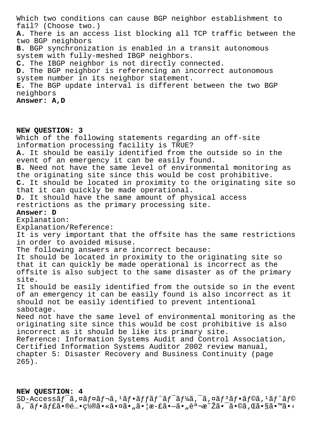Which two conditions can cause BGP neighbor establishment to fail? (Choose two.) A. There is an access list blocking all TCP traffic between the two BGP neighbors B. BGP synchronization is enabled in a transit autonomous system with fully-meshed IBGP neighbors. C. The IBGP neighbor is not directly connected. D. The BGP neighbor is referencing an incorrect autonomous system number in its neighbor statement. E. The BGP update interval is different between the two BGP neighbors Answer: A, D

NEW OUESTION: 3 Which of the following statements regarding an off-site information processing facility is TRUE? A. It should be easily identified from the outside so in the event of an emergency it can be easily found. B. Need not have the same level of environmental monitoring as the originating site since this would be cost prohibitive. C. It should be located in proximity to the originating site so that it can quickly be made operational. D. It should have the same amount of physical access restrictions as the primary processing site. Answer: D Explanation: Explanation/Reference: It is very important that the offsite has the same restrictions in order to avoided misuse. The following answers are incorrect because: It should be located in proximity to the originating site so that it can quickly be made operational is incorrect as the offsite is also subject to the same disaster as of the primary site. It should be easily identified from the outside so in the event of an emergency it can be easily found is also incorrect as it should not be easily identified to prevent intentional sabotage. Need not have the same level of environmental monitoring as the originating site since this would be cost prohibitive is also incorrect as it should be like its primary site. Reference: Information Systems Audit and Control Association, Certified Information Systems Auditor 2002 review manual, chapter 5: Disaster Recovery and Business Continuity (page  $265$ ).

## NEW QUESTION: 4

SD-Accessãf<sup>-</sup>ã,¤ãf¤ãf¬ã,<sup>1</sup>ãf•ãffãf^ãf<sup>-</sup>ãf¼ã,<sup>-</sup>ã,¤ãf<sup>3</sup>ãf•ãf©ã,<sup>1</sup>ãf^ãf©  $\tilde{a}$ ,  $\tilde{a}$ f•ãf£ã•®é…•置㕫㕤ã•"㕦æ-£ã• $-\tilde{a}$ •"説æ $\tilde{a}$ žã• $\tilde{a}$ •©ã,Œã•§ã•™ã•<